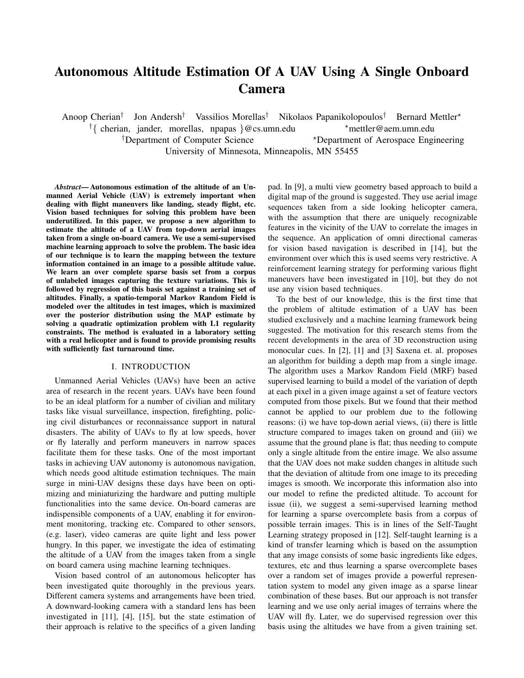# Autonomous Altitude Estimation Of A UAV Using A Single Onboard Camera

Anoop Cherian<sup>†</sup> Jon Andersh<sup>†</sup> Vassilios Morellas<sup>†</sup> Nikolaos Papanikolopoulos<sup>†</sup> Bernard Mettler\* <sup>†</sup>{ cherian, jander, morellas, npapas }@cs.umn.edu  $*$ mettler@aem.umn.edu <sup>†</sup>Department of Computer Science <sup>\*</sup>Department of Aerospace Engineering University of Minnesota, Minneapolis, MN 55455

*Abstract*— Autonomous estimation of the altitude of an Unmanned Aerial Vehicle (UAV) is extremely important when dealing with flight maneuvers like landing, steady flight, etc. Vision based techniques for solving this problem have been underutilized. In this paper, we propose a new algorithm to estimate the altitude of a UAV from top-down aerial images taken from a single on-board camera. We use a semi-supervised machine learning approach to solve the problem. The basic idea of our technique is to learn the mapping between the texture information contained in an image to a possible altitude value. We learn an over complete sparse basis set from a corpus of unlabeled images capturing the texture variations. This is followed by regression of this basis set against a training set of altitudes. Finally, a spatio-temporal Markov Random Field is modeled over the altitudes in test images, which is maximized over the posterior distribution using the MAP estimate by solving a quadratic optimization problem with L1 regularity constraints. The method is evaluated in a laboratory setting with a real helicopter and is found to provide promising results with sufficiently fast turnaround time.

## I. INTRODUCTION

Unmanned Aerial Vehicles (UAVs) have been an active area of research in the recent years. UAVs have been found to be an ideal platform for a number of civilian and military tasks like visual surveillance, inspection, firefighting, policing civil disturbances or reconnaissance support in natural disasters. The ability of UAVs to fly at low speeds, hover or fly laterally and perform maneuvers in narrow spaces facilitate them for these tasks. One of the most important tasks in achieving UAV autonomy is autonomous navigation, which needs good altitude estimation techniques. The main surge in mini-UAV designs these days have been on optimizing and miniaturizing the hardware and putting multiple functionalities into the same device. On-board cameras are indispensible components of a UAV, enabling it for environment monitoring, tracking etc. Compared to other sensors, (e.g. laser), video cameras are quite light and less power hungry. In this paper, we investigate the idea of estimating the altitude of a UAV from the images taken from a single on board camera using machine learning techniques.

Vision based control of an autonomous helicopter has been investigated quite thoroughly in the previous years. Different camera systems and arrangements have been tried. A downward-looking camera with a standard lens has been investigated in [11], [4], [15], but the state estimation of their approach is relative to the specifics of a given landing pad. In [9], a multi view geometry based approach to build a digital map of the ground is suggested. They use aerial image sequences taken from a side looking helicopter camera, with the assumption that there are uniquely recognizable features in the vicinity of the UAV to correlate the images in the sequence. An application of omni directional cameras for vision based navigation is described in [14], but the environment over which this is used seems very restrictive. A reinforcement learning strategy for performing various flight maneuvers have been investigated in [10], but they do not use any vision based techniques.

To the best of our knowledge, this is the first time that the problem of altitude estimation of a UAV has been studied exclusively and a machine learning framework being suggested. The motivation for this research stems from the recent developments in the area of 3D reconstruction using monocular cues. In [2], [1] and [3] Saxena et. al. proposes an algorithm for building a depth map from a single image. The algorithm uses a Markov Random Field (MRF) based supervised learning to build a model of the variation of depth at each pixel in a given image against a set of feature vectors computed from those pixels. But we found that their method cannot be applied to our problem due to the following reasons: (i) we have top-down aerial views, (ii) there is little structure compared to images taken on ground and (iii) we assume that the ground plane is flat; thus needing to compute only a single altitude from the entire image. We also assume that the UAV does not make sudden changes in altitude such that the deviation of altitude from one image to its preceding images is smooth. We incorporate this information also into our model to refine the predicted altitude. To account for issue (ii), we suggest a semi-supervised learning method for learning a sparse overcomplete basis from a corpus of possible terrain images. This is in lines of the Self-Taught Learning strategy proposed in [12]. Self-taught learning is a kind of transfer learning which is based on the assumption that any image consists of some basic ingredients like edges, textures, etc and thus learning a sparse overcomplete bases over a random set of images provide a powerful representation system to model any given image as a sparse linear combination of these bases. But our approach is not transfer learning and we use only aerial images of terrains where the UAV will fly. Later, we do supervised regression over this basis using the altitudes we have from a given training set.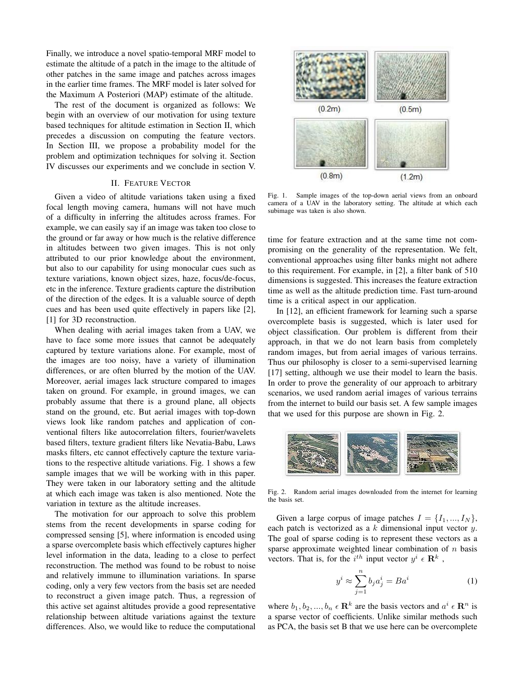Finally, we introduce a novel spatio-temporal MRF model to estimate the altitude of a patch in the image to the altitude of other patches in the same image and patches across images in the earlier time frames. The MRF model is later solved for the Maximum A Posteriori (MAP) estimate of the altitude.

The rest of the document is organized as follows: We begin with an overview of our motivation for using texture based techniques for altitude estimation in Section II, which precedes a discussion on computing the feature vectors. In Section III, we propose a probability model for the problem and optimization techniques for solving it. Section IV discusses our experiments and we conclude in section V.

# II. FEATURE VECTOR

Given a video of altitude variations taken using a fixed focal length moving camera, humans will not have much of a difficulty in inferring the altitudes across frames. For example, we can easily say if an image was taken too close to the ground or far away or how much is the relative difference in altitudes between two given images. This is not only attributed to our prior knowledge about the environment, but also to our capability for using monocular cues such as texture variations, known object sizes, haze, focus/de-focus, etc in the inference. Texture gradients capture the distribution of the direction of the edges. It is a valuable source of depth cues and has been used quite effectively in papers like [2], [1] for 3D reconstruction.

When dealing with aerial images taken from a UAV, we have to face some more issues that cannot be adequately captured by texture variations alone. For example, most of the images are too noisy, have a variety of illumination differences, or are often blurred by the motion of the UAV. Moreover, aerial images lack structure compared to images taken on ground. For example, in ground images, we can probably assume that there is a ground plane, all objects stand on the ground, etc. But aerial images with top-down views look like random patches and application of conventional filters like autocorrelation filters, fourier/wavelets based filters, texture gradient filters like Nevatia-Babu, Laws masks filters, etc cannot effectively capture the texture variations to the respective altitude variations. Fig. 1 shows a few sample images that we will be working with in this paper. They were taken in our laboratory setting and the altitude at which each image was taken is also mentioned. Note the variation in texture as the altitude increases.

The motivation for our approach to solve this problem stems from the recent developments in sparse coding for compressed sensing [5], where information is encoded using a sparse overcomplete basis which effectively captures higher level information in the data, leading to a close to perfect reconstruction. The method was found to be robust to noise and relatively immune to illumination variations. In sparse coding, only a very few vectors from the basis set are needed to reconstruct a given image patch. Thus, a regression of this active set against altitudes provide a good representative relationship between altitude variations against the texture differences. Also, we would like to reduce the computational



Fig. 1. Sample images of the top-down aerial views from an onboard camera of a UAV in the laboratory setting. The altitude at which each subimage was taken is also shown.

time for feature extraction and at the same time not compromising on the generality of the representation. We felt, conventional approaches using filter banks might not adhere to this requirement. For example, in [2], a filter bank of 510 dimensions is suggested. This increases the feature extraction time as well as the altitude prediction time. Fast turn-around time is a critical aspect in our application.

In [12], an efficient framework for learning such a sparse overcomplete basis is suggested, which is later used for object classification. Our problem is different from their approach, in that we do not learn basis from completely random images, but from aerial images of various terrains. Thus our philosophy is closer to a semi-supervised learning [17] setting, although we use their model to learn the basis. In order to prove the generality of our approach to arbitrary scenarios, we used random aerial images of various terrains from the internet to build our basis set. A few sample images that we used for this purpose are shown in Fig. 2.



Fig. 2. Random aerial images downloaded from the internet for learning the basis set.

Given a large corpus of image patches  $I = \{I_1, ..., I_N\},\$ each patch is vectorized as a  $k$  dimensional input vector  $y$ . The goal of sparse coding is to represent these vectors as a sparse approximate weighted linear combination of  $n$  basis vectors. That is, for the  $i^{th}$  input vector  $y^i \in \mathbb{R}^k$ ,

$$
y^i \approx \sum_{j=1}^n b_j a_j^i = B a^i \tag{1}
$$

where  $b_1, b_2, ..., b_n \in \mathbb{R}^k$  are the basis vectors and  $a^i \in \mathbb{R}^n$  is a sparse vector of coefficients. Unlike similar methods such as PCA, the basis set B that we use here can be overcomplete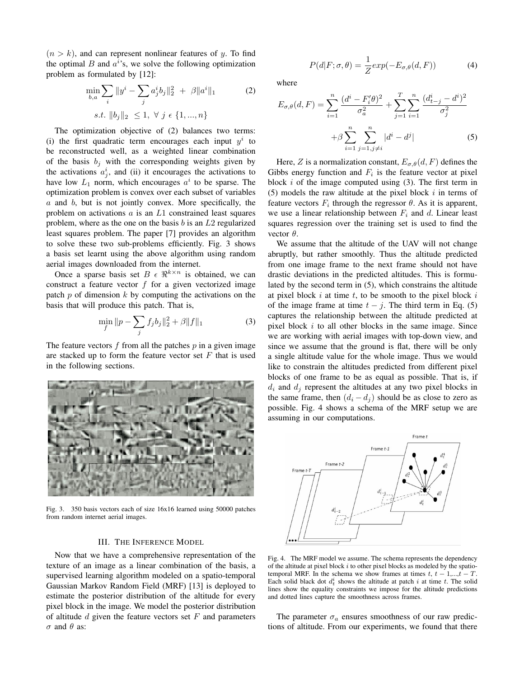$(n > k)$ , and can represent nonlinear features of y. To find the optimal  $B$  and  $a^i$ 's, we solve the following optimization problem as formulated by [12]:

$$
\min_{b,a} \sum_{i} \|y^{i} - \sum_{j} a_{j}^{i} b_{j}\|_{2}^{2} + \beta \|a^{i}\|_{1}
$$
\n
$$
s.t. \|b_{j}\|_{2} \leq 1, \forall j \in \{1, ..., n\}
$$
\n(2)

The optimization objective of (2) balances two terms: (i) the first quadratic term encourages each input  $y^i$  to be reconstructed well, as a weighted linear combination of the basis  $b_i$  with the corresponding weights given by the activations  $a_j^i$ , and (ii) it encourages the activations to have low  $L_1$  norm, which encourages  $a^i$  to be sparse. The optimization problem is convex over each subset of variables  $a$  and  $b$ , but is not jointly convex. More specifically, the problem on activations  $a$  is an  $L1$  constrained least squares problem, where as the one on the basis  $b$  is an  $L2$  regularized least squares problem. The paper [7] provides an algorithm to solve these two sub-problems efficiently. Fig. 3 shows a basis set learnt using the above algorithm using random aerial images downloaded from the internet.

Once a sparse basis set  $B \in \mathbb{R}^{k \times n}$  is obtained, we can construct a feature vector  $f$  for a given vectorized image patch  $p$  of dimension  $k$  by computing the activations on the basis that will produce this patch. That is,

$$
\min_{f} \|p - \sum_{j} f_j b_j\|_2^2 + \beta \|f\|_1
$$
 (3)

The feature vectors  $f$  from all the patches  $p$  in a given image are stacked up to form the feature vector set  $F$  that is used in the following sections.



Fig. 3. 350 basis vectors each of size 16x16 learned using 50000 patches from random internet aerial images.

### III. THE INFERENCE MODEL

Now that we have a comprehensive representation of the texture of an image as a linear combination of the basis, a supervised learning algorithm modeled on a spatio-temporal Gaussian Markov Random Field (MRF) [13] is deployed to estimate the posterior distribution of the altitude for every pixel block in the image. We model the posterior distribution of altitude  $d$  given the feature vectors set  $F$  and parameters  $\sigma$  and  $\theta$  as:

$$
P(d|F; \sigma, \theta) = \frac{1}{Z} exp(-E_{\sigma, \theta}(d, F))
$$
 (4)

where

$$
E_{\sigma,\theta}(d,F) = \sum_{i=1}^{n} \frac{(d^{i} - F'_{i}\theta)^{2}}{\sigma_{a}^{2}} + \sum_{j=1}^{T} \sum_{i=1}^{n} \frac{(d^{i}_{t-j} - d^{i})^{2}}{\sigma_{j}^{2}} + \beta \sum_{i=1}^{n} \sum_{j=1, j \neq i}^{n} |d^{i} - d^{j}|
$$
 (5)

Here, Z is a normalization constant,  $E_{\sigma,\theta}(d, F)$  defines the Gibbs energy function and  $F_i$  is the feature vector at pixel block  $i$  of the image computed using  $(3)$ . The first term in (5) models the raw altitude at the pixel block  $i$  in terms of feature vectors  $F_i$  through the regressor  $\theta$ . As it is apparent, we use a linear relationship between  $F_i$  and d. Linear least squares regression over the training set is used to find the vector  $\theta$ .

We assume that the altitude of the UAV will not change abruptly, but rather smoothly. Thus the altitude predicted from one image frame to the next frame should not have drastic deviations in the predicted altitudes. This is formulated by the second term in (5), which constrains the altitude at pixel block  $i$  at time  $t$ , to be smooth to the pixel block  $i$ of the image frame at time  $t - j$ . The third term in Eq. (5) captures the relationship between the altitude predicted at pixel block  $i$  to all other blocks in the same image. Since we are working with aerial images with top-down view, and since we assume that the ground is flat, there will be only a single altitude value for the whole image. Thus we would like to constrain the altitudes predicted from different pixel blocks of one frame to be as equal as possible. That is, if  $d_i$  and  $d_j$  represent the altitudes at any two pixel blocks in the same frame, then  $(d_i - d_j)$  should be as close to zero as possible. Fig. 4 shows a schema of the MRF setup we are assuming in our computations.



Fig. 4. The MRF model we assume. The schema represents the dependency of the altitude at pixel block  $i$  to other pixel blocks as modeled by the spatiotemporal MRF. In the schema we show frames at times  $t, t - 1, \ldots, t - T$ . Each solid black dot  $d_t^i$  shows the altitude at patch i at time t. The solid lines show the equality constraints we impose for the altitude predictions and dotted lines capture the smoothness across frames.

The parameter  $\sigma_a$  ensures smoothness of our raw predictions of altitude. From our experiments, we found that there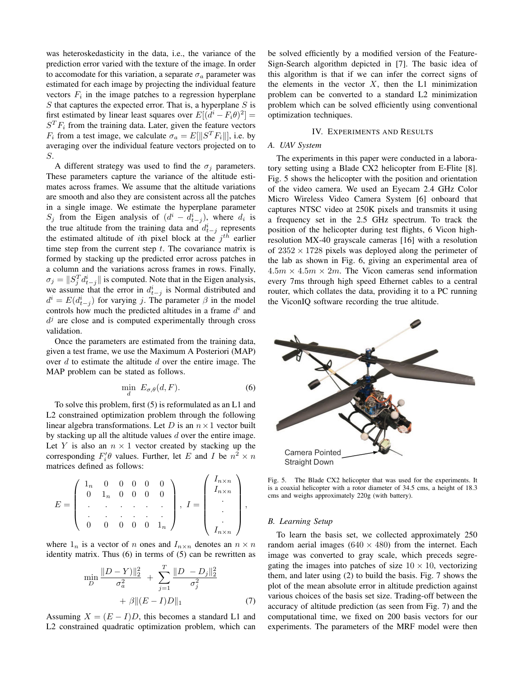was heteroskedasticity in the data, i.e., the variance of the prediction error varied with the texture of the image. In order to accomodate for this variation, a separate  $\sigma_a$  parameter was estimated for each image by projecting the individual feature vectors  $F_i$  in the image patches to a regression hyperplane  $S$  that captures the expected error. That is, a hyperplane  $S$  is first estimated by linear least squares over  $E[(d^{i} - F_{i}\theta)^{2}] =$  $S^T F_i$  from the training data. Later, given the feature vectors  $F_i$  from a test image, we calculate  $\sigma_a = E[||S^T F_i||]$ , i.e. by averaging over the individual feature vectors projected on to S.

A different strategy was used to find the  $\sigma_i$  parameters. These parameters capture the variance of the altitude estimates across frames. We assume that the altitude variations are smooth and also they are consistent across all the patches in a single image. We estimate the hyperplane parameter  $S_j$  from the Eigen analysis of  $(d^i - d^i_{t-j})$ , where  $d_i$  is the true altitude from the training data and  $d_{t-j}^{i}$  represents the estimated altitude of *i*th pixel block at the  $j<sup>th</sup>$  earlier time step from the current step  $t$ . The covariance matrix is formed by stacking up the predicted error across patches in a column and the variations across frames in rows. Finally,  $\sigma_j = ||S_j^T d_{t-j}^i||$  is computed. Note that in the Eigen analysis, we assume that the error in  $d_{t-j}^i$  is Normal distributed and  $d^i = E(d^i_{t-j})$  for varying j. The parameter  $\beta$  in the model controls how much the predicted altitudes in a frame  $d<sup>i</sup>$  and  $d^j$  are close and is computed experimentally through cross validation.

Once the parameters are estimated from the training data, given a test frame, we use the Maximum A Posteriori (MAP) over  $d$  to estimate the altitude  $d$  over the entire image. The MAP problem can be stated as follows.

$$
\min_{d} \ E_{\sigma,\theta}(d,F). \tag{6}
$$

To solve this problem, first (5) is reformulated as an L1 and L2 constrained optimization problem through the following linear algebra transformations. Let D is an  $n \times 1$  vector built by stacking up all the altitude values d over the entire image. Let Y is also an  $n \times 1$  vector created by stacking up the corresponding  $F_i' \theta$  values. Further, let E and I be  $n^2 \times n$ matrices defined as follows:

$$
E = \left( \begin{array}{cccc} 1_n & 0 & 0 & 0 & 0 & 0 \\ 0 & 1_n & 0 & 0 & 0 & 0 \\ . & . & . & . & . & . \\ . & . & . & . & . & . \\ 0 & 0 & 0 & 0 & 0 & 1_n \end{array} \right), I = \left( \begin{array}{c} I_{n \times n} \\ I_{n \times n} \\ . \\ . \\ I_{n \times n} \end{array} \right),
$$

where  $1_n$  is a vector of n ones and  $I_{n \times n}$  denotes an  $n \times n$ identity matrix. Thus (6) in terms of (5) can be rewritten as

$$
\min_{D} \frac{\|D - Y\|_2^2}{\sigma_a^2} + \sum_{j=1}^T \frac{\|D - D_j\|_2^2}{\sigma_j^2} + \beta \| (E - I)D \|_1 \tag{7}
$$

Assuming  $X = (E - I)D$ , this becomes a standard L1 and L2 constrained quadratic optimization problem, which can be solved efficiently by a modified version of the Feature-Sign-Search algorithm depicted in [7]. The basic idea of this algorithm is that if we can infer the correct signs of the elements in the vector  $X$ , then the L1 minimization problem can be converted to a standard L2 minimization problem which can be solved efficiently using conventional optimization techniques.

## IV. EXPERIMENTS AND RESULTS

# *A. UAV System*

The experiments in this paper were conducted in a laboratory setting using a Blade CX2 helicopter from E-Flite [8]. Fig. 5 shows the helicopter with the position and orientation of the video camera. We used an Eyecam 2.4 GHz Color Micro Wireless Video Camera System [6] onboard that captures NTSC video at 250K pixels and transmits it using a frequency set in the 2.5 GHz spectrum. To track the position of the helicopter during test flights, 6 Vicon highresolution MX-40 grayscale cameras [16] with a resolution of  $2352 \times 1728$  pixels was deployed along the perimeter of the lab as shown in Fig. 6, giving an experimental area of  $4.5m \times 4.5m \times 2m$ . The Vicon cameras send information every 7ms through high speed Ethernet cables to a central router, which collates the data, providing it to a PC running the ViconIQ software recording the true altitude.



Fig. 5. The Blade CX2 helicopter that was used for the experiments. It is a coaxial helicopter with a rotor diameter of 34.5 cms, a height of 18.3 cms and weighs approximately 220g (with battery).

# *B. Learning Setup*

To learn the basis set, we collected approximately 250 random aerial images ( $640 \times 480$ ) from the internet. Each image was converted to gray scale, which preceds segregating the images into patches of size  $10 \times 10$ , vectorizing them, and later using (2) to build the basis. Fig. 7 shows the plot of the mean absolute error in altitude prediction against various choices of the basis set size. Trading-off between the accuracy of altitude prediction (as seen from Fig. 7) and the computational time, we fixed on 200 basis vectors for our experiments. The parameters of the MRF model were then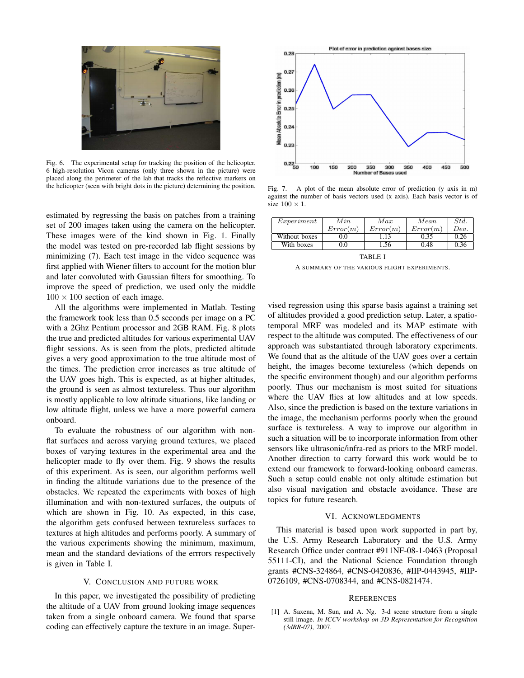

Fig. 6. The experimental setup for tracking the position of the helicopter. 6 high-resolution Vicon cameras (only three shown in the picture) were placed along the perimeter of the lab that tracks the reflective markers on the helicopter (seen with bright dots in the picture) determining the position.

estimated by regressing the basis on patches from a training set of 200 images taken using the camera on the helicopter. These images were of the kind shown in Fig. 1. Finally the model was tested on pre-recorded lab flight sessions by minimizing (7). Each test image in the video sequence was first applied with Wiener filters to account for the motion blur and later convoluted with Gaussian filters for smoothing. To improve the speed of prediction, we used only the middle  $100 \times 100$  section of each image.

All the algorithms were implemented in Matlab. Testing the framework took less than 0.5 seconds per image on a PC with a 2Ghz Pentium processor and 2GB RAM. Fig. 8 plots the true and predicted altitudes for various experimental UAV flight sessions. As is seen from the plots, predicted altitude gives a very good approximation to the true altitude most of the times. The prediction error increases as true altitude of the UAV goes high. This is expected, as at higher altitudes, the ground is seen as almost textureless. Thus our algorithm is mostly applicable to low altitude situations, like landing or low altitude flight, unless we have a more powerful camera onboard.

To evaluate the robustness of our algorithm with nonflat surfaces and across varying ground textures, we placed boxes of varying textures in the experimental area and the helicopter made to fly over them. Fig. 9 shows the results of this experiment. As is seen, our algorithm performs well in finding the altitude variations due to the presence of the obstacles. We repeated the experiments with boxes of high illumination and with non-textured surfaces, the outputs of which are shown in Fig. 10. As expected, in this case, the algorithm gets confused between textureless surfaces to textures at high altitudes and performs poorly. A summary of the various experiments showing the minimum, maximum, mean and the standard deviations of the errrors respectively is given in Table I.

#### V. CONCLUSION AND FUTURE WORK

In this paper, we investigated the possibility of predicting the altitude of a UAV from ground looking image sequences taken from a single onboard camera. We found that sparse coding can effectively capture the texture in an image. Super-



Fig. 7. A plot of the mean absolute error of prediction (y axis in m) against the number of basis vectors used (x axis). Each basis vector is of size  $100 \times 1$ .

| Experiment    | Min      | Max      | Mean     | Std. |
|---------------|----------|----------|----------|------|
|               | Error(m) | Error(m) | Error(m) | Dev. |
| Without boxes | 0.0      | 1.13     | 0.35     | 0.26 |
| With boxes    | 0.0      | 1.56     | 0.48     | 0.36 |
|               |          |          |          |      |

A SUMMARY OF THE VARIOUS FLIGHT EXPERIMENTS.

vised regression using this sparse basis against a training set of altitudes provided a good prediction setup. Later, a spatiotemporal MRF was modeled and its MAP estimate with respect to the altitude was computed. The effectiveness of our approach was substantiated through laboratory experiments. We found that as the altitude of the UAV goes over a certain height, the images become textureless (which depends on the specific environment though) and our algorithm performs poorly. Thus our mechanism is most suited for situations where the UAV flies at low altitudes and at low speeds. Also, since the prediction is based on the texture variations in the image, the mechanism performs poorly when the ground surface is textureless. A way to improve our algorithm in such a situation will be to incorporate information from other sensors like ultrasonic/infra-red as priors to the MRF model. Another direction to carry forward this work would be to extend our framework to forward-looking onboard cameras. Such a setup could enable not only altitude estimation but also visual navigation and obstacle avoidance. These are topics for future research.

#### VI. ACKNOWLEDGMENTS

This material is based upon work supported in part by, the U.S. Army Research Laboratory and the U.S. Army Research Office under contract #911NF-08-1-0463 (Proposal 55111-CI), and the National Science Foundation through grants #CNS-324864, #CNS-0420836, #IIP-0443945, #IIP-0726109, #CNS-0708344, and #CNS-0821474.

#### **REFERENCES**

[1] A. Saxena, M. Sun, and A. Ng. 3-d scene structure from a single still image. *In ICCV workshop on 3D Representation for Recognition (3dRR-07)*, 2007.